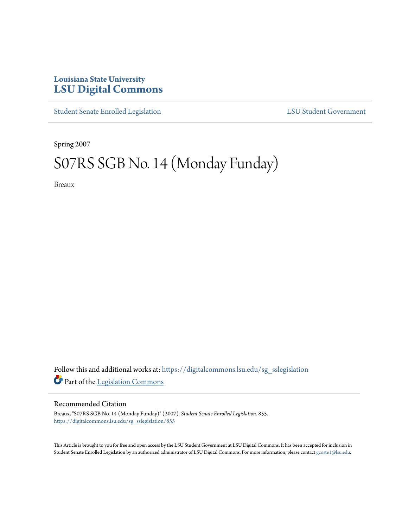## **Louisiana State University [LSU Digital Commons](https://digitalcommons.lsu.edu?utm_source=digitalcommons.lsu.edu%2Fsg_sslegislation%2F855&utm_medium=PDF&utm_campaign=PDFCoverPages)**

[Student Senate Enrolled Legislation](https://digitalcommons.lsu.edu/sg_sslegislation?utm_source=digitalcommons.lsu.edu%2Fsg_sslegislation%2F855&utm_medium=PDF&utm_campaign=PDFCoverPages) [LSU Student Government](https://digitalcommons.lsu.edu/sg?utm_source=digitalcommons.lsu.edu%2Fsg_sslegislation%2F855&utm_medium=PDF&utm_campaign=PDFCoverPages)

Spring 2007

## S07RS SGB No. 14 (Monday Funday)

Breaux

Follow this and additional works at: [https://digitalcommons.lsu.edu/sg\\_sslegislation](https://digitalcommons.lsu.edu/sg_sslegislation?utm_source=digitalcommons.lsu.edu%2Fsg_sslegislation%2F855&utm_medium=PDF&utm_campaign=PDFCoverPages) Part of the [Legislation Commons](http://network.bepress.com/hgg/discipline/859?utm_source=digitalcommons.lsu.edu%2Fsg_sslegislation%2F855&utm_medium=PDF&utm_campaign=PDFCoverPages)

## Recommended Citation

Breaux, "S07RS SGB No. 14 (Monday Funday)" (2007). *Student Senate Enrolled Legislation*. 855. [https://digitalcommons.lsu.edu/sg\\_sslegislation/855](https://digitalcommons.lsu.edu/sg_sslegislation/855?utm_source=digitalcommons.lsu.edu%2Fsg_sslegislation%2F855&utm_medium=PDF&utm_campaign=PDFCoverPages)

This Article is brought to you for free and open access by the LSU Student Government at LSU Digital Commons. It has been accepted for inclusion in Student Senate Enrolled Legislation by an authorized administrator of LSU Digital Commons. For more information, please contact [gcoste1@lsu.edu.](mailto:gcoste1@lsu.edu)